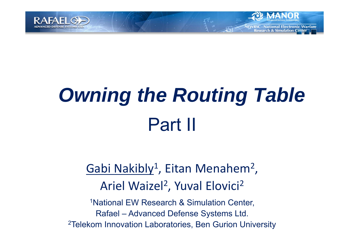

# *Owning the Routing Table* Part II

lational Electronic Warfare

esearch & Simulation Center

#### Gabi Nakibly 1 , Eitan Menahem 2 , Ariel Waizel<sup>2</sup> , Yuval Elovici 2

1National EW Research & Simulation Center, Rafael – Advanced Defense Systems Ltd. 2Telekom Innovation Laboratories, Ben Gurion University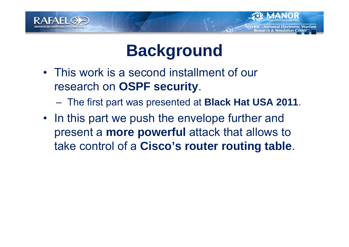



ational Electronic Warfare **Simulation Center** 

- This work is a second installment of our research on **OSPF security**.
	- –The first part was presented at **Black Hat USA 2011**.
- In this part we push the envelope further and present a **more powerful** attack that allows to take control of a **Cisco's router routing table**.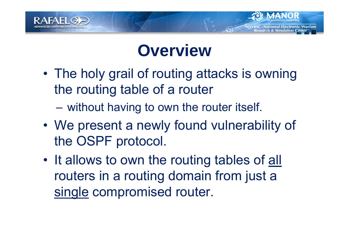

## **Overview**

- • The holy grail of routing attacks is owning the routing table of a router
	- –without having to own the router itself.
- • We present a newly found vulnerability of the OSPF protocol.
- •It allows to own the routing tables of all routers in a routing domain from just a single compromised router.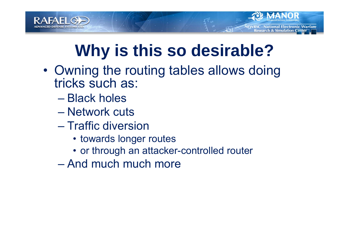

## **Why is this so desirable?**

ational Electronic Warfare **Simulation Center** 

- • Owning the routing tables allows doing tricks such as:
	- Black holes
	- Network cuts
	- Traffic diversion
		- towards longer routes
		- or through an attacker-controlled router
	- And much much more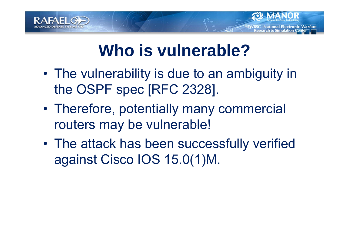

## **Who is vulnerable?**

- The vulnerability is due to an ambiguity in the OSPF spec [RFC 2328].
- • Therefore, potentially many commercial routers may be vulnerable!
- • The attack has been successfully verified against Cisco IOS 15.0(1)M.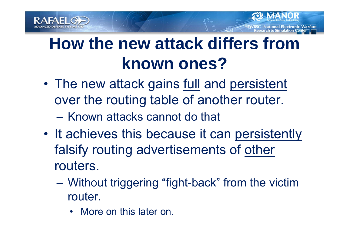



- $\bullet$ The new attack gains full and persistent over the routing table of another router.
	- Known attacks cannot do that
- It achieves this because it can persistently falsify routing advertisements of other routers.
	- – Without triggering "fight-back" from the victim router.
		- More on this later on.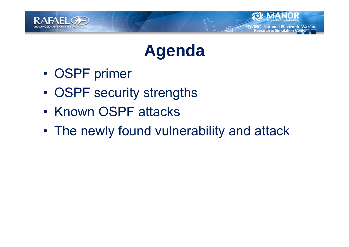

![](_page_6_Picture_1.jpeg)

**RSC - National Electronic Warfare Research & Simulation Center** 

- •OSPF primer
- •OSPF security strengths
- Known OSPF attacks
- •The newly found vulnerability and attack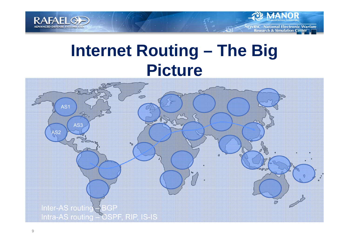![](_page_7_Picture_0.jpeg)

![](_page_7_Picture_1.jpeg)

## **Internet Routing – The Big Picture**

![](_page_7_Figure_3.jpeg)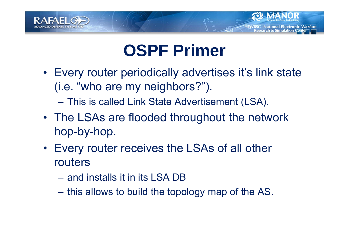![](_page_8_Picture_0.jpeg)

## **OSPF Primer**

- Every router periodically advertises it's link state (i.e. "who are my neighbors?").
	- –This is called Link State Advertisement (LSA).
- The LSAs are flooded throughout the network hop-by-hop.
- Every router receives the LSAs of all other routers
	- and installs it in its LSA DB
	- –this allows to build the topology map of the AS.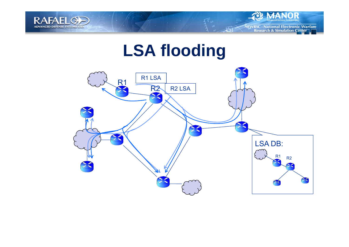![](_page_9_Picture_0.jpeg)

![](_page_9_Picture_1.jpeg)

## **LSA flooding**

![](_page_9_Figure_3.jpeg)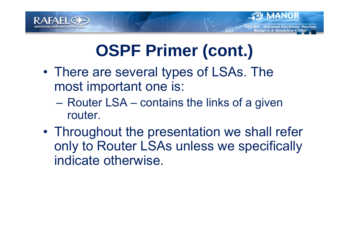![](_page_10_Picture_0.jpeg)

![](_page_10_Picture_1.jpeg)

ational Electronic Warfare **Simulation Center** 

- • There are several types of LSAs. The most important one is:
	- – Router LSA – contains the links of a given router.
- • Throughout the presentation we shall refer only to Router LSAs unless we specifically indicate otherwise.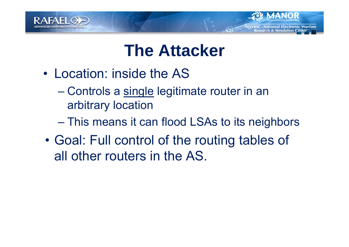![](_page_11_Picture_0.jpeg)

## **The Attacker**

- Location: inside the AS
	- –Controls a single legitimate router in an arbitrary location
	- –This means it can flood LSAs to its neighbors
- • Goal: Full control of the routing tables of all other routers in the AS.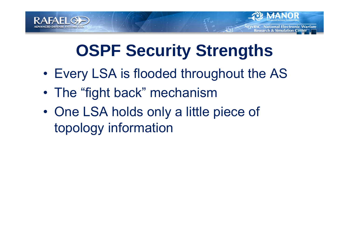![](_page_12_Picture_0.jpeg)

## **OSPF Security Strengths**

lational Electronic Warfare

esearch & Simulation Center

- •Every LSA is flooded throughout the AS
- •The "fight back" mechanism
- $\bullet$  One LSA holds only a little piece of topology information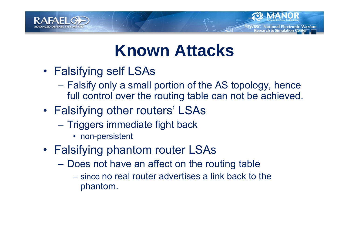![](_page_13_Picture_0.jpeg)

## **Known Attacks**

lational Electronic Warfare

esearch & Simulation Center

- Falsifying self LSAs
	- **London Maria Barrison**  Falsify only a small portion of the AS topology, hence full control over the routing table can not be achieved.
- Falsifying other routers' LSAs
	- **London Maria Barrison**  Triggers immediate fight back
		- non-persistent
- Falsifying phantom router LSAs
	- – Does not have an affect on the routing table
		- since no real router advertises a link back to the phantom.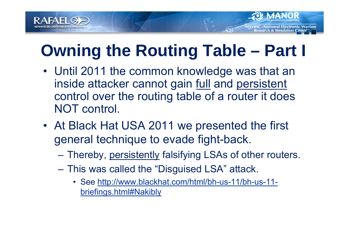![](_page_14_Picture_0.jpeg)

## **Owning the Routing Table – Part I**

- Until 2011 the common knowledge was that an inside attacker cannot gain full and persistent control over the routing table of a router it does NOT control.
- At Black Hat USA 2011 we presented the first general technique to evade fight-back.
	- –Thereby, persistently falsifying LSAs of other routers.
	- – This was called the "Disguised LSA" attack.
		- See http://www.blackhat.com/html/bh-us-11/bh-us-11 briefings.html#Nakibly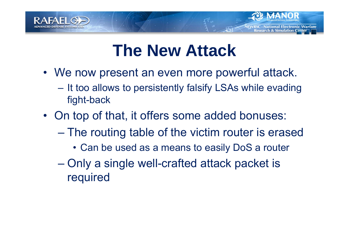![](_page_15_Picture_0.jpeg)

## **The New Attack**

- We now present an even more powerful attack.
	- **London Maria Andrew**  It too allows to persistently falsify LSAs while evading fight-back
- On top of that, it offers some added bonuses:
	- – The routing table of the victim router is erased
		- Can be used as a means to easily DoS a router
	- – Only a single well-crafted attack packet is required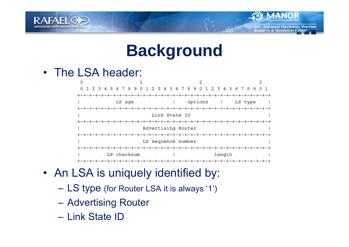![](_page_16_Picture_0.jpeg)

### **Background**

**National Electronic Warfare** 

**Research & Simulation Center** 

### • The LSA header:

![](_page_16_Figure_3.jpeg)

- An LSA is uniquely identified by:
	- –LS type (for Router LSA it is always '1')
	- –Advertising Router
	- Link State ID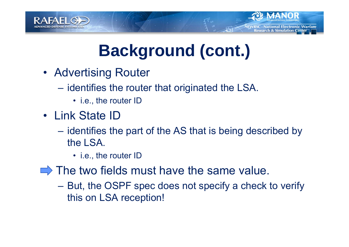![](_page_17_Picture_0.jpeg)

![](_page_17_Picture_1.jpeg)

- Advertising Router
	- **London Maria Andrew**  identifies the router that originated the LSA.
		- i.e., the router ID
- Link State ID
	- **London Maria Andrew**  identifies the part of the AS that is being described by the LSA.
		- i.e., the router ID
- $\Rightarrow$  The two fields must have the same value.
	- – But, the OSPF spec does not specify a check to verify this on LSA reception!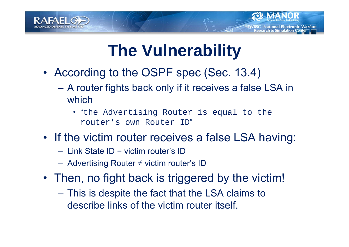![](_page_18_Picture_0.jpeg)

## **The Vulnerability**

- According to the OSPF spec (Sec. 13.4)
	- **London Maria Andrew**  A router fights back only if it receives a false LSA in which
		- "the Advertising Router is equal to the router's own Router ID "
- If the victim router receives a false LSA having:
	- Link State ID = victim router's ID
	- Advertising Router ≠ victim router's ID
- Then, no fight back is triggered by the victim!
	- – This is despite the fact that the LSA claims to describe links of the victim router itself.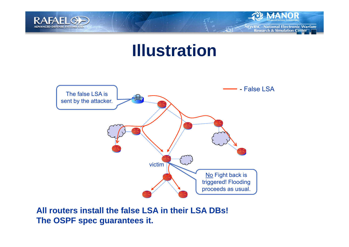![](_page_19_Picture_0.jpeg)

![](_page_19_Picture_1.jpeg)

## **Illustration**

![](_page_19_Figure_3.jpeg)

**All routers install the false LSA in their LSA DBs! The OSPF spec guarantees it.**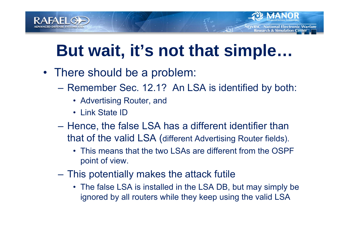![](_page_20_Picture_0.jpeg)

## **But wait, it's not that simple…**

lational Electronic Warfare

**esearch & Simulation Center** 

- There should be a problem:
	- **London Maria Andrew**  Remember Sec. 12.1? An LSA is identified by both:
		- Advertising Router, and
		- Link State ID
	- – Hence, the false LSA has a different identifier than that of the valid LSA (different Advertising Router fields).
		- This means that the two LSAs are different from the OSPF point of view.
	- **London Maria Andrew**  This potentially makes the attack futile
		- The false LSA is installed in the LSA DB, but may simply be ignored by all routers while they keep using the valid LSA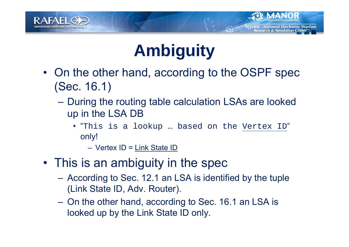![](_page_21_Picture_0.jpeg)

## **Ambiguity**

**National Electronic Warfare** .

lesearch & Simulation Center

- On the other hand, according to the OSPF spec (Sec. 16.1)
	- – During the routing table calculation LSAs are looked up in the LSA DB
		- "This is a lookup … based on the Vertex ID" only!

– Vertex ID = Link State ID

- This is an ambiguity in the spec
	- According to Sec. 12.1 an LSA is identified by the tuple (Link State ID, Adv. Router).
	- On the other hand, according to Sec. 16.1 an LSA is looked up by the Link State ID only.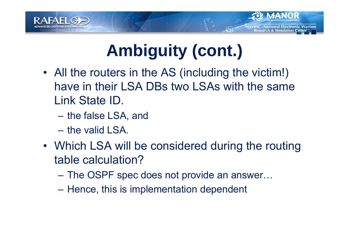![](_page_22_Picture_0.jpeg)

![](_page_22_Picture_1.jpeg)

- All the routers in the AS (including the victim!) have in their LSA DBs two LSAs with the same Link State ID.
	- **London Maria Andrew** the false LSA, and
	- the valid LSA.
- Which LSA will be considered during the routing table calculation?
	- **London Maria Andrew** The OSPF spec does not provide an answer…
	- –Hence, this is implementation dependent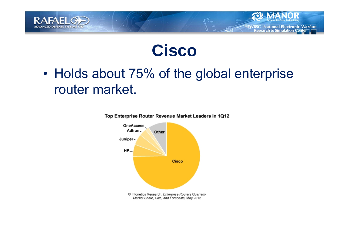![](_page_23_Picture_0.jpeg)

![](_page_23_Picture_1.jpeg)

**NEWRSC - National Electronic Warfare Research & Simulation Center** 

• Holds about 75% of the global enterprise router market.

![](_page_23_Figure_3.jpeg)

Top Enterprise Router Revenue Market Leaders in 1Q12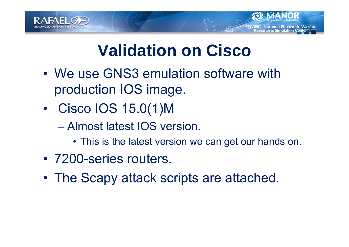![](_page_24_Picture_0.jpeg)

![](_page_24_Picture_1.jpeg)

- We use GNS3 emulation software with production IOS image.
- • Cisco IOS 15.0(1)M
	- Almost latest IOS version.
		- This is the latest version we can get our hands on.
- 7200-series routers.
- •The Scapy attack scripts are attached.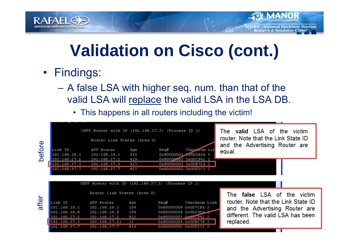![](_page_25_Picture_0.jpeg)

## **Validation on Cisco (cont.)**

**RSC - National Electronic Warfare Research & Simulation Center** 

- Findings:
	- – A false LSA with higher seq. num. than that of the valid LSA will replace the valid LSA in the LSA DB.
		- This happens in all routers including the victim!

![](_page_25_Figure_5.jpeg)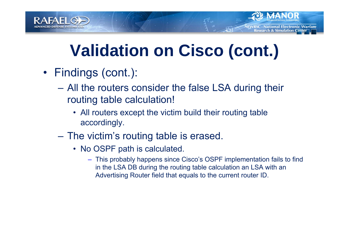![](_page_26_Picture_0.jpeg)

## **Validation on Cisco (cont.)**

**lational Electronic Warfare** 

esearch & Simulation Center

- Findings (cont.):
	- – All the routers consider the false LSA during their routing table calculation!
		- All routers except the victim build their routing table accordingly.
	- The victim's routing table is erased.
		- No OSPF path is calculated.
			- This probably happens since Cisco's OSPF implementation fails to find in the LSA DB during the routing table calculation an LSA with an Advertising Router field that equals to the current router ID.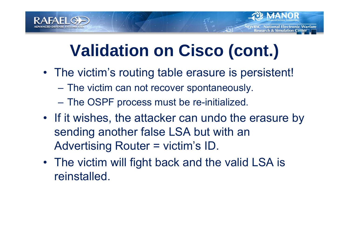![](_page_27_Picture_0.jpeg)

## **Validation on Cisco (cont.)**

- The victim's routing table erasure is persistent!
	- –The victim can not recover spontaneously.
	- The OSPF process must be re-initialized.
- If it wishes, the attacker can undo the erasure by sending another false LSA but with an Advertising Router = victim's ID.
- The victim will fight back and the valid LSA is reinstalled.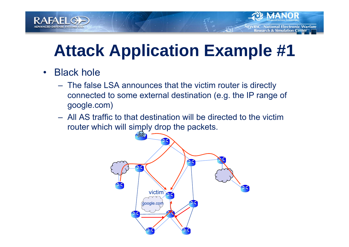![](_page_28_Picture_0.jpeg)

## **Attack Application Example #1**

- • Black hole
	- The false LSA announces that the victim router is directly connected to some external destination (e.g. the IP range of google.com)
	- All AS traffic to that destination will be directed to the victim router which will simply drop the packets.

![](_page_28_Figure_6.jpeg)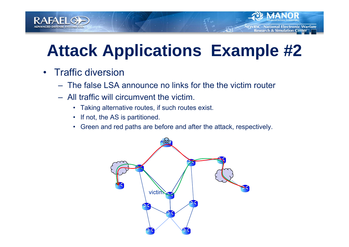![](_page_29_Picture_0.jpeg)

## **Attack Applications Example #2**

- • Traffic diversion
	- The false LSA announce no links for the the victim router
	- All traffic will circumvent the victim.
		- Taking alternative routes, if such routes exist.
		- If not, the AS is partitioned.
		- Green and red paths are before and after the attack, respectively.

![](_page_29_Figure_9.jpeg)